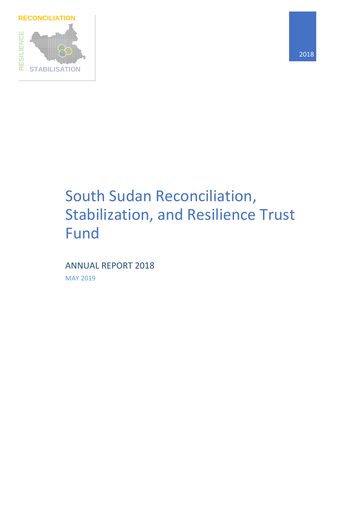

# South Sudan Reconciliation, Stabilization, and Resilience Trust Fund

ANNUAL REPORT 2018 MAY 2019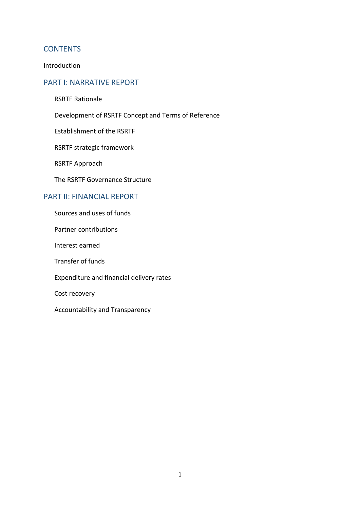### **CONTENTS**

Introduction

### PART I: NARRATIVE REPORT

- RSRTF Rationale
- Development of RSRTF Concept and Terms of Reference
- Establishment of the RSRTF
- RSRTF strategic framework
- RSRTF Approach
- The RSRTF Governance Structure

### PART II: FINANCIAL REPORT

- Sources and uses of funds
- Partner contributions
- Interest earned
- Transfer of funds
- Expenditure and financial delivery rates
- Cost recovery
- Accountability and Transparency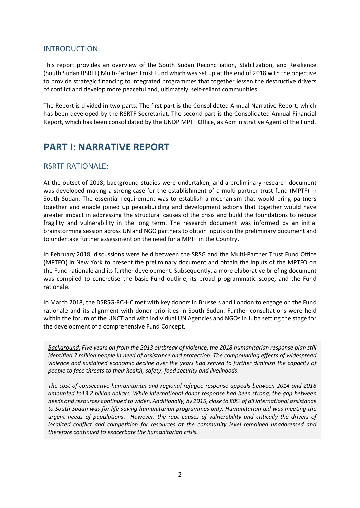### INTRODUCTION:

This report provides an overview of the South Sudan Reconciliation, Stabilization, and Resilience (South Sudan RSRTF) Multi-Partner Trust Fund which was set up at the end of 2018 with the objective to provide strategic financing to integrated programmes that together lessen the destructive drivers of conflict and develop more peaceful and, ultimately, self-reliant communities.

The Report is divided in two parts. The first part is the Consolidated Annual Narrative Report, which has been developed by the RSRTF Secretariat. The second part is the Consolidated Annual Financial Report, which has been consolidated by the UNDP MPTF Office, as Administrative Agent of the Fund.

## **PART I: NARRATIVE REPORT**

### RSRTF RATIONALE:

At the outset of 2018, background studies were undertaken, and a preliminary research document was developed making a strong case for the establishment of a multi-partner trust fund (MPTF) in South Sudan. The essential requirement was to establish a mechanism that would bring partners together and enable joined up peacebuilding and development actions that together would have greater impact in addressing the structural causes of the crisis and build the foundations to reduce fragility and vulnerability in the long term. The research document was informed by an initial brainstorming session across UN and NGO partners to obtain inputs on the preliminary document and to undertake further assessment on the need for a MPTF in the Country.

In February 2018, discussions were held between the SRSG and the Multi-Partner Trust Fund Office (MPTFO) in New York to present the preliminary document and obtain the inputs of the MPTFO on the Fund rationale and its further development. Subsequently, a more elaborative briefing document was compiled to concretise the basic Fund outline, its broad programmatic scope, and the Fund rationale.

In March 2018, the DSRSG-RC-HC met with key donors in Brussels and London to engage on the Fund rationale and its alignment with donor priorities in South Sudan. Further consultations were held within the forum of the UNCT and with individual UN Agencies and NGOs in Juba setting the stage for the development of a comprehensive Fund Concept.

*Background: Five years on from the 2013 outbreak of violence, the 2018 humanitarian response plan still identified 7 million people in need of assistance and protection. The compounding effects of widespread violence and sustained economic decline over the years had served to further diminish the capacity of people to face threats to their health, safety, food security and livelihoods.* 

*The cost of consecutive humanitarian and regional refugee response appeals between 2014 and 2018 amounted to13.2 billion dollars. While international donor response had been strong, the gap between needs and resources continued to widen. Additionally, by 2015, close to 80% of all international assistance to South Sudan was for life saving humanitarian programmes only. Humanitarian aid was meeting the urgent needs of populations. However, the root causes of vulnerability and critically the drivers of*  localized conflict and competition for resources at the community level remained unaddressed and *therefore continued to exacerbate the humanitarian crisis.*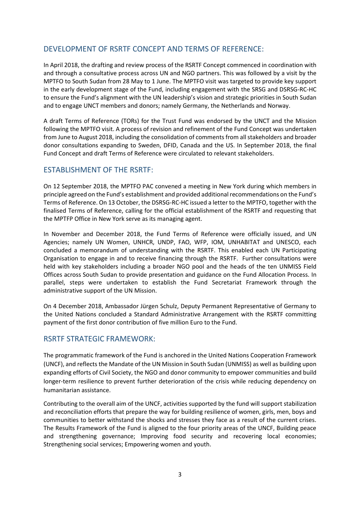### DEVELOPMENT OF RSRTF CONCEPT AND TERMS OF REFERENCE:

In April 2018, the drafting and review process of the RSRTF Concept commenced in coordination with and through a consultative process across UN and NGO partners. This was followed by a visit by the MPTFO to South Sudan from 28 May to 1 June. The MPTFO visit was targeted to provide key support in the early development stage of the Fund, including engagement with the SRSG and DSRSG-RC-HC to ensure the Fund's alignment with the UN leadership's vision and strategic priorities in South Sudan and to engage UNCT members and donors; namely Germany, the Netherlands and Norway.

A draft Terms of Reference (TORs) for the Trust Fund was endorsed by the UNCT and the Mission following the MPTFO visit. A process of revision and refinement of the Fund Concept was undertaken from June to August 2018, including the consolidation of comments from all stakeholders and broader donor consultations expanding to Sweden, DFID, Canada and the US. In September 2018, the final Fund Concept and draft Terms of Reference were circulated to relevant stakeholders.

### ESTABLISHMENT OF THE RSRTF:

On 12 September 2018, the MPTFO PAC convened a meeting in New York during which members in principle agreed on the Fund's establishment and provided additional recommendations on the Fund's Terms of Reference. On 13 October, the DSRSG-RC-HC issued a letter to the MPTFO, together with the finalised Terms of Reference, calling for the official establishment of the RSRTF and requesting that the MPTFP Office in New York serve as its managing agent.

In November and December 2018, the Fund Terms of Reference were officially issued, and UN Agencies; namely UN Women, UNHCR, UNDP, FAO, WFP, IOM, UNHABITAT and UNESCO, each concluded a memorandum of understanding with the RSRTF. This enabled each UN Participating Organisation to engage in and to receive financing through the RSRTF. Further consultations were held with key stakeholders including a broader NGO pool and the heads of the ten UNMISS Field Offices across South Sudan to provide presentation and guidance on the Fund Allocation Process. In parallel, steps were undertaken to establish the Fund Secretariat Framework through the administrative support of the UN Mission.

On 4 December 2018, Ambassador Jürgen Schulz, Deputy Permanent Representative of Germany to the United Nations concluded a Standard Administrative Arrangement with the RSRTF committing payment of the first donor contribution of five million Euro to the Fund.

### RSRTF STRATEGIC FRAMEWORK:

The programmatic framework of the Fund is anchored in the United Nations Cooperation Framework (UNCF), and reflects the Mandate of the UN Mission in South Sudan (UNMISS) as well as building upon expanding efforts of Civil Society, the NGO and donor community to empower communities and build longer-term resilience to prevent further deterioration of the crisis while reducing dependency on humanitarian assistance.

Contributing to the overall aim of the UNCF, activities supported by the fund will support stabilization and reconciliation efforts that prepare the way for building resilience of women, girls, men, boys and communities to better withstand the shocks and stresses they face as a result of the current crises. The Results Framework of the Fund is aligned to the four priority areas of the UNCF, Building peace and strengthening governance; Improving food security and recovering local economies; Strengthening social services; Empowering women and youth.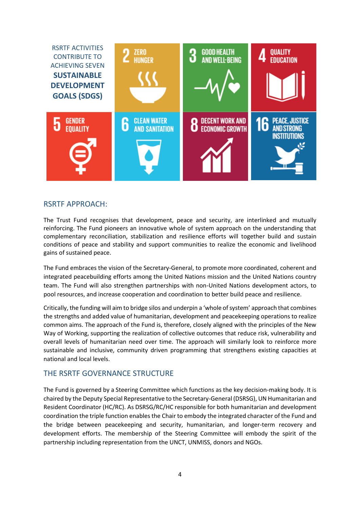

### RSRTF APPROACH:

The Trust Fund recognises that development, peace and security, are interlinked and mutually reinforcing. The Fund pioneers an innovative whole of system approach on the understanding that complementary reconciliation, stabilization and resilience efforts will together build and sustain conditions of peace and stability and support communities to realize the economic and livelihood gains of sustained peace.

The Fund embraces the vision of the Secretary-General, to promote more coordinated, coherent and integrated peacebuilding efforts among the United Nations mission and the United Nations country team. The Fund will also strengthen partnerships with non-United Nations development actors, to pool resources, and increase cooperation and coordination to better build peace and resilience.

Critically, the funding will aim to bridge silos and underpin a 'whole of system' approach that combines the strengths and added value of humanitarian, development and peacekeeping operations to realize common aims. The approach of the Fund is, therefore, closely aligned with the principles of the New Way of Working, supporting the realization of collective outcomes that reduce risk, vulnerability and overall levels of humanitarian need over time. The approach will similarly look to reinforce more sustainable and inclusive, community driven programming that strengthens existing capacities at national and local levels.

### THE RSRTF GOVERNANCE STRUCTURE

The Fund is governed by a Steering Committee which functions as the key decision-making body. It is chaired by the Deputy Special Representative to the Secretary-General (DSRSG), UN Humanitarian and Resident Coordinator (HC/RC). As DSRSG/RC/HC responsible for both humanitarian and development coordination the triple function enables the Chair to embody the integrated character of the Fund and the bridge between peacekeeping and security, humanitarian, and longer-term recovery and development efforts. The membership of the Steering Committee will embody the spirit of the partnership including representation from the UNCT, UNMISS, donors and NGOs.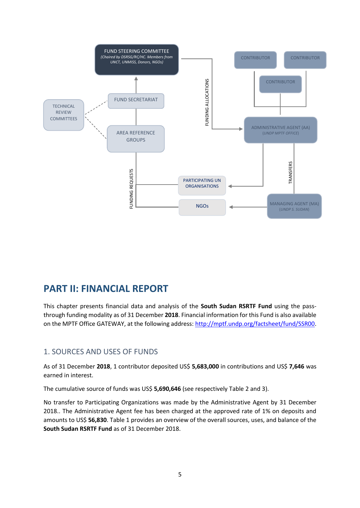

# **PART II: FINANCIAL REPORT**

This chapter presents financial data and analysis of the **South Sudan RSRTF Fund** using the passthrough funding modality as of 31 December **2018**. Financial information for this Fund is also available on the MPTF Office GATEWAY, at the following address[: http://mptf.undp.org/factsheet/fund/SSR00.](http://mptf.undp.org/factsheet/fund/SSR00)

### 1. SOURCES AND USES OF FUNDS

As of 31 December **2018**, 1 contributor deposited US\$ **5,683,000** in contributions and US\$ **7,646** was earned in interest.

The cumulative source of funds was US\$ **5,690,646** (see respectively Table 2 and 3).

No transfer to Participating Organizations was made by the Administrative Agent by 31 December 2018.. The Administrative Agent fee has been charged at the approved rate of 1% on deposits and amounts to US\$ **56,830**. Table 1 provides an overview of the overall sources, uses, and balance of the **South Sudan RSRTF Fund** as of 31 December 2018.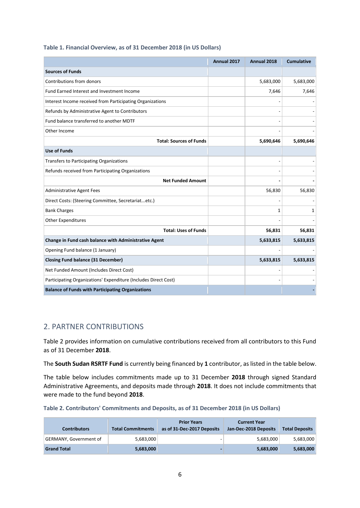#### **Table 1. Financial Overview, as of 31 December 2018 (in US Dollars)**

|                                                                 | Annual 2017 | Annual 2018 | <b>Cumulative</b> |
|-----------------------------------------------------------------|-------------|-------------|-------------------|
| <b>Sources of Funds</b>                                         |             |             |                   |
| Contributions from donors                                       |             | 5,683,000   | 5,683,000         |
| Fund Earned Interest and Investment Income                      |             | 7,646       | 7,646             |
| Interest Income received from Participating Organizations       |             |             |                   |
| Refunds by Administrative Agent to Contributors                 |             |             |                   |
| Fund balance transferred to another MDTF                        |             |             |                   |
| Other Income                                                    |             |             |                   |
| <b>Total: Sources of Funds</b>                                  |             | 5,690,646   | 5,690,646         |
| <b>Use of Funds</b>                                             |             |             |                   |
| <b>Transfers to Participating Organizations</b>                 |             |             |                   |
| Refunds received from Participating Organizations               |             |             |                   |
| <b>Net Funded Amount</b>                                        |             |             |                   |
| <b>Administrative Agent Fees</b>                                |             | 56,830      | 56,830            |
| Direct Costs: (Steering Committee, Secretariatetc.)             |             |             |                   |
| <b>Bank Charges</b>                                             |             | 1           | 1                 |
| <b>Other Expenditures</b>                                       |             |             |                   |
| <b>Total: Uses of Funds</b>                                     |             | 56,831      | 56,831            |
| Change in Fund cash balance with Administrative Agent           |             | 5,633,815   | 5,633,815         |
| Opening Fund balance (1 January)                                |             |             |                   |
| <b>Closing Fund balance (31 December)</b>                       |             | 5,633,815   | 5,633,815         |
| Net Funded Amount (Includes Direct Cost)                        |             |             |                   |
| Participating Organizations' Expenditure (Includes Direct Cost) |             |             |                   |
| <b>Balance of Funds with Participating Organizations</b>        |             |             |                   |

### 2. PARTNER CONTRIBUTIONS

Table 2 provides information on cumulative contributions received from all contributors to this Fund as of 31 December **2018**.

The **South Sudan RSRTF Fund** is currently being financed by **1** contributor, as listed in the table below.

The table below includes commitments made up to 31 December **2018** through signed Standard Administrative Agreements, and deposits made through **2018**. It does not include commitments that were made to the fund beyond **2018**.

|  | Table 2. Contributors' Commitments and Deposits, as of 31 December 2018 (in US Dollars) |
|--|-----------------------------------------------------------------------------------------|
|--|-----------------------------------------------------------------------------------------|

| <b>Contributors</b>           | <b>Total Commitments</b> | <b>Prior Years</b><br>as of 31-Dec-2017 Deposits | <b>Current Year</b><br>Jan-Dec-2018 Deposits | <b>Total Deposits</b> |
|-------------------------------|--------------------------|--------------------------------------------------|----------------------------------------------|-----------------------|
| <b>GERMANY, Government of</b> | 5,683,000                |                                                  | 5,683,000                                    | 5,683,000             |
| <b>Grand Total</b>            | 5,683,000                |                                                  | 5,683,000                                    | 5,683,000             |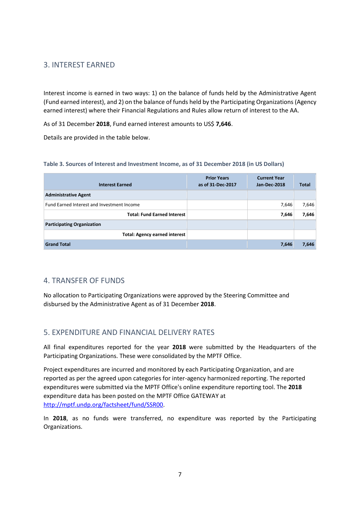### 3. INTEREST EARNED

Interest income is earned in two ways: 1) on the balance of funds held by the Administrative Agent (Fund earned interest), and 2) on the balance of funds held by the Participating Organizations (Agency earned interest) where their Financial Regulations and Rules allow return of interest to the AA.

As of 31 December **2018**, Fund earned interest amounts to US\$ **7,646**.

Details are provided in the table below.

#### **Table 3. Sources of Interest and Investment Income, as of 31 December 2018 (in US Dollars)**

| <b>Interest Earned</b>                     | <b>Prior Years</b><br>as of 31-Dec-2017 | <b>Current Year</b><br>Jan-Dec-2018 | <b>Total</b> |
|--------------------------------------------|-----------------------------------------|-------------------------------------|--------------|
| <b>Administrative Agent</b>                |                                         |                                     |              |
| Fund Earned Interest and Investment Income |                                         | 7,646                               | 7,646        |
| <b>Total: Fund Earned Interest</b>         |                                         | 7,646                               | 7,646        |
| <b>Participating Organization</b>          |                                         |                                     |              |
| <b>Total: Agency earned interest</b>       |                                         |                                     |              |
| <b>Grand Total</b>                         |                                         | 7,646                               | 7,646        |

### 4. TRANSFER OF FUNDS

No allocation to Participating Organizations were approved by the Steering Committee and disbursed by the Administrative Agent as of 31 December **2018**.

### 5. EXPENDITURE AND FINANCIAL DELIVERY RATES

All final expenditures reported for the year **2018** were submitted by the Headquarters of the Participating Organizations. These were consolidated by the MPTF Office.

Project expenditures are incurred and monitored by each Participating Organization, and are reported as per the agreed upon categories for inter-agency harmonized reporting. The reported expenditures were submitted via the MPTF Office's online expenditure reporting tool. The **2018** expenditure data has been posted on the MPTF Office GATEWAY at [http://mptf.undp.org/factsheet/fund/SSR00.](http://mptf.undp.org/factsheet/fund/SSR00)

In **2018**, as no funds were transferred, no expenditure was reported by the Participating Organizations.